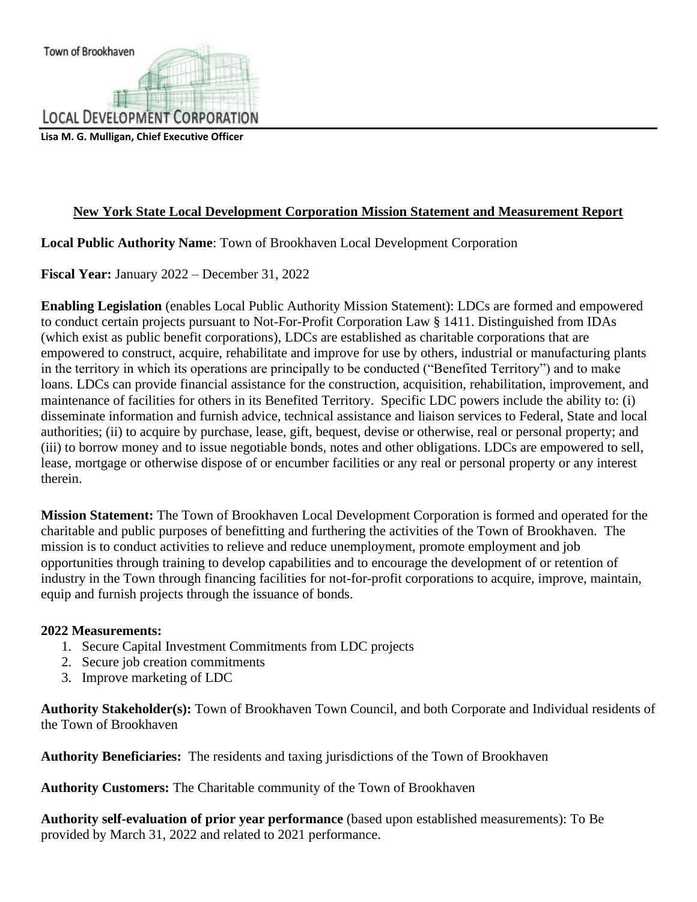**Lisa M. G. Mulligan, Chief Executive Officer**

# **New York State Local Development Corporation Mission Statement and Measurement Report**

## **Local Public Authority Name**: Town of Brookhaven Local Development Corporation

**Fiscal Year:** January 2022 – December 31, 2022

**Enabling Legislation** (enables Local Public Authority Mission Statement): LDCs are formed and empowered to conduct certain projects pursuant to Not-For-Profit Corporation Law § 1411. Distinguished from IDAs (which exist as public benefit corporations), LDCs are established as charitable corporations that are empowered to construct, acquire, rehabilitate and improve for use by others, industrial or manufacturing plants in the territory in which its operations are principally to be conducted ("Benefited Territory") and to make loans. LDCs can provide financial assistance for the construction, acquisition, rehabilitation, improvement, and maintenance of facilities for others in its Benefited Territory. Specific LDC powers include the ability to: (i) disseminate information and furnish advice, technical assistance and liaison services to Federal, State and local authorities; (ii) to acquire by purchase, lease, gift, bequest, devise or otherwise, real or personal property; and (iii) to borrow money and to issue negotiable bonds, notes and other obligations. LDCs are empowered to sell, lease, mortgage or otherwise dispose of or encumber facilities or any real or personal property or any interest therein.

**Mission Statement:** The Town of Brookhaven Local Development Corporation is formed and operated for the charitable and public purposes of benefitting and furthering the activities of the Town of Brookhaven. The mission is to conduct activities to relieve and reduce unemployment, promote employment and job opportunities through training to develop capabilities and to encourage the development of or retention of industry in the Town through financing facilities for not-for-profit corporations to acquire, improve, maintain, equip and furnish projects through the issuance of bonds.

## **2022 Measurements:**

- 1. Secure Capital Investment Commitments from LDC projects
- 2. Secure job creation commitments
- 3. Improve marketing of LDC

**Authority Stakeholder(s):** Town of Brookhaven Town Council, and both Corporate and Individual residents of the Town of Brookhaven

**Authority Beneficiaries:** The residents and taxing jurisdictions of the Town of Brookhaven

**Authority Customers:** The Charitable community of the Town of Brookhaven

**Authority self-evaluation of prior year performance** (based upon established measurements): To Be provided by March 31, 2022 and related to 2021 performance.